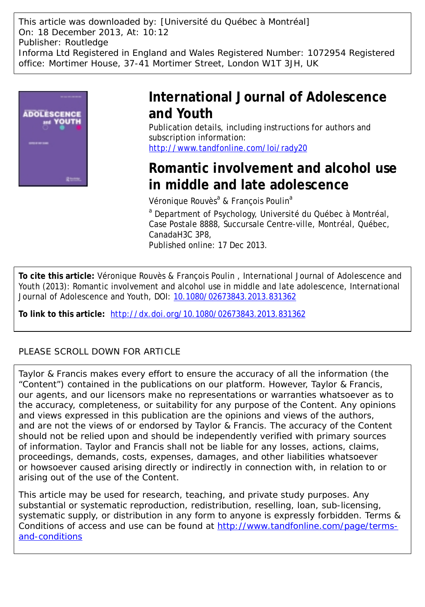This article was downloaded by: [Université du Québec à Montréal] On: 18 December 2013, At: 10:12 Publisher: Routledge Informa Ltd Registered in England and Wales Registered Number: 1072954 Registered office: Mortimer House, 37-41 Mortimer Street, London W1T 3JH, UK



## **International Journal of Adolescence and Youth**

Publication details, including instructions for authors and subscription information: <http://www.tandfonline.com/loi/rady20>

# **Romantic involvement and alcohol use in middle and late adolescence**

Véronique Rouvès<sup>a</sup> & François Poulin<sup>a</sup>

<sup>a</sup> Department of Psychology, Université du Québec à Montréal, Case Postale 8888, Succursale Centre-ville, Montréal, Québec, CanadaH3C 3P8,

Published online: 17 Dec 2013.

**To cite this article:** Véronique Rouvès & François Poulin , International Journal of Adolescence and Youth (2013): Romantic involvement and alcohol use in middle and late adolescence, International Journal of Adolescence and Youth, DOI: [10.1080/02673843.2013.831362](http://www.tandfonline.com/action/showCitFormats?doi=10.1080/02673843.2013.831362)

**To link to this article:** <http://dx.doi.org/10.1080/02673843.2013.831362>

## PLEASE SCROLL DOWN FOR ARTICLE

Taylor & Francis makes every effort to ensure the accuracy of all the information (the "Content") contained in the publications on our platform. However, Taylor & Francis, our agents, and our licensors make no representations or warranties whatsoever as to the accuracy, completeness, or suitability for any purpose of the Content. Any opinions and views expressed in this publication are the opinions and views of the authors, and are not the views of or endorsed by Taylor & Francis. The accuracy of the Content should not be relied upon and should be independently verified with primary sources of information. Taylor and Francis shall not be liable for any losses, actions, claims, proceedings, demands, costs, expenses, damages, and other liabilities whatsoever or howsoever caused arising directly or indirectly in connection with, in relation to or arising out of the use of the Content.

This article may be used for research, teaching, and private study purposes. Any substantial or systematic reproduction, redistribution, reselling, loan, sub-licensing, systematic supply, or distribution in any form to anyone is expressly forbidden. Terms & Conditions of access and use can be found at [http://www.tandfonline.com/page/terms](http://www.tandfonline.com/page/terms-and-conditions)[and-conditions](http://www.tandfonline.com/page/terms-and-conditions)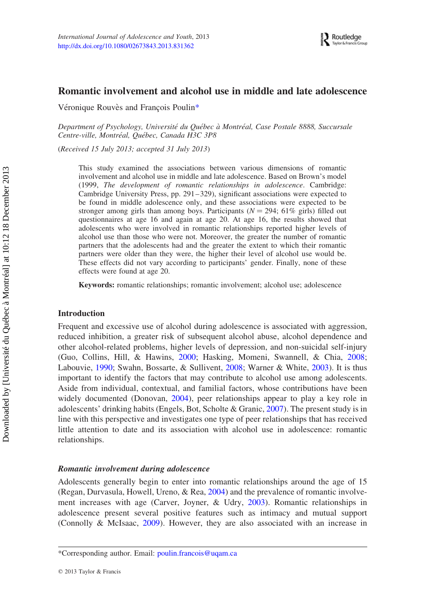

## Romantic involvement and alcohol use in middle and late adolescence

Véronique Rouvès and Francois Pouli[n\\*](#page-1-0)

Department of Psychology, Université du Québec à Montréal, Case Postale 8888, Succursale Centre-ville, Montréal, Québec, Canada H3C 3P8

(Received 15 July 2013; accepted 31 July 2013)

This study examined the associations between various dimensions of romantic involvement and alcohol use in middle and late adolescence. Based on Brown's model (1999, The development of romantic relationships in adolescence. Cambridge: Cambridge University Press, pp. 291 – 329), significant associations were expected to be found in middle adolescence only, and these associations were expected to be stronger among girls than among boys. Participants ( $N = 294$ ; 61% girls) filled out questionnaires at age 16 and again at age 20. At age 16, the results showed that adolescents who were involved in romantic relationships reported higher levels of alcohol use than those who were not. Moreover, the greater the number of romantic partners that the adolescents had and the greater the extent to which their romantic partners were older than they were, the higher their level of alcohol use would be. These effects did not vary according to participants' gender. Finally, none of these effects were found at age 20.

Keywords: romantic relationships; romantic involvement; alcohol use; adolescence

## Introduction

Frequent and excessive use of alcohol during adolescence is associated with aggression, reduced inhibition, a greater risk of subsequent alcohol abuse, alcohol dependence and other alcohol-related problems, higher levels of depression, and non-suicidal self-injury (Guo, Collins, Hill, & Hawins, [2000](#page-13-0); Hasking, Momeni, Swannell, & Chia, [2008](#page-14-0); Labouvie, [1990;](#page-14-1) Swahn, Bossarte, & Sullivent, [2008;](#page-15-0) Warner & White, [2003\)](#page-15-1). It is thus important to identify the factors that may contribute to alcohol use among adolescents. Aside from individual, contextual, and familial factors, whose contributions have been widely documented (Donovan, [2004\)](#page-13-1), peer relationships appear to play a key role in adolescents' drinking habits (Engels, Bot, Scholte & Granic, [2007\)](#page-13-2). The present study is in line with this perspective and investigates one type of peer relationships that has received little attention to date and its association with alcohol use in adolescence: romantic relationships.

#### Romantic involvement during adolescence

Adolescents generally begin to enter into romantic relationships around the age of 15 (Regan, Durvasula, Howell, Ureno, & Rea, [2004](#page-15-2)) and the prevalence of romantic involvement increases with age (Carver, Joyner, & Udry, [2003\)](#page-13-3). Romantic relationships in adolescence present several positive features such as intimacy and mutual support (Connolly & McIsaac, [2009\)](#page-13-4). However, they are also associated with an increase in

<span id="page-1-0"></span><sup>\*</sup>Corresponding author. Email: [poulin.francois@uqam.ca](mailto:poulin.francois@uqam.ca)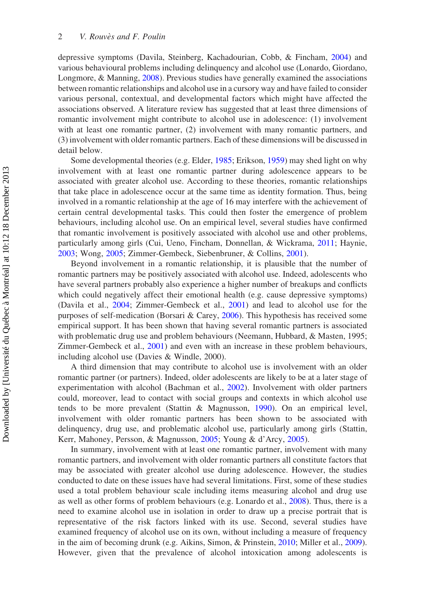depressive symptoms (Davila, Steinberg, Kachadourian, Cobb, & Fincham, [2004](#page-13-5)) and various behavioural problems including delinquency and alcohol use (Lonardo, Giordano, Longmore, & Manning, [2008\)](#page-14-2). Previous studies have generally examined the associations between romantic relationships and alcohol use in a cursory way and have failed to consider various personal, contextual, and developmental factors which might have affected the associations observed. A literature review has suggested that at least three dimensions of romantic involvement might contribute to alcohol use in adolescence: (1) involvement with at least one romantic partner, (2) involvement with many romantic partners, and (3) involvement with older romantic partners. Each of these dimensions will be discussed in detail below.

Some developmental theories (e.g. Elder, [1985](#page-13-6); Erikson, [1959](#page-13-7)) may shed light on why involvement with at least one romantic partner during adolescence appears to be associated with greater alcohol use. According to these theories, romantic relationships that take place in adolescence occur at the same time as identity formation. Thus, being involved in a romantic relationship at the age of 16 may interfere with the achievement of certain central developmental tasks. This could then foster the emergence of problem behaviours, including alcohol use. On an empirical level, several studies have confirmed that romantic involvement is positively associated with alcohol use and other problems, particularly among girls (Cui, Ueno, Fincham, Donnellan, & Wickrama, [2011](#page-13-8); Haynie, [2003](#page-14-3); Wong, [2005;](#page-15-3) Zimmer-Gembeck, Siebenbruner, & Collins, [2001](#page-15-4)).

Beyond involvement in a romantic relationship, it is plausible that the number of romantic partners may be positively associated with alcohol use. Indeed, adolescents who have several partners probably also experience a higher number of breakups and conflicts which could negatively affect their emotional health (e.g. cause depressive symptoms) (Davila et al., [2004;](#page-13-5) Zimmer-Gembeck et al., [2001](#page-15-4)) and lead to alcohol use for the purposes of self-medication (Borsari & Carey, [2006](#page-13-9)). This hypothesis has received some empirical support. It has been shown that having several romantic partners is associated with problematic drug use and problem behaviours (Neemann, Hubbard, & Masten, 1995; Zimmer-Gembeck et al., [2001\)](#page-15-4) and even with an increase in these problem behaviours, including alcohol use (Davies & Windle, 2000).

A third dimension that may contribute to alcohol use is involvement with an older romantic partner (or partners). Indeed, older adolescents are likely to be at a later stage of experimentation with alcohol (Bachman et al., [2002\)](#page-13-10). Involvement with older partners could, moreover, lead to contact with social groups and contexts in which alcohol use tends to be more prevalent (Stattin & Magnusson, [1990](#page-15-5)). On an empirical level, involvement with older romantic partners has been shown to be associated with delinquency, drug use, and problematic alcohol use, particularly among girls (Stattin, Kerr, Mahoney, Persson, & Magnusson, [2005;](#page-15-6) Young & d'Arcy, [2005](#page-15-7)).

In summary, involvement with at least one romantic partner, involvement with many romantic partners, and involvement with older romantic partners all constitute factors that may be associated with greater alcohol use during adolescence. However, the studies conducted to date on these issues have had several limitations. First, some of these studies used a total problem behaviour scale including items measuring alcohol and drug use as well as other forms of problem behaviours (e.g. Lonardo et al., [2008](#page-14-2)). Thus, there is a need to examine alcohol use in isolation in order to draw up a precise portrait that is representative of the risk factors linked with its use. Second, several studies have examined frequency of alcohol use on its own, without including a measure of frequency in the aim of becoming drunk (e.g. Aikins, Simon, & Prinstein, [2010;](#page-12-0) Miller et al., [2009](#page-14-4)). However, given that the prevalence of alcohol intoxication among adolescents is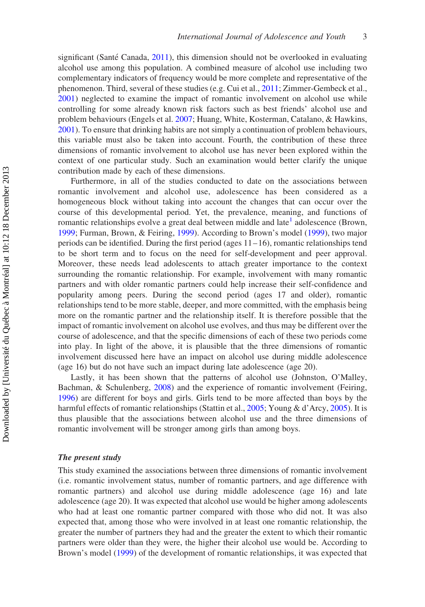significant (Santé Canada,  $2011$ ), this dimension should not be overlooked in evaluating alcohol use among this population. A combined measure of alcohol use including two complementary indicators of frequency would be more complete and representative of the phenomenon. Third, several of these studies (e.g. Cui et al., [2011](#page-13-8); Zimmer-Gembeck et al., [2001](#page-15-4)) neglected to examine the impact of romantic involvement on alcohol use while controlling for some already known risk factors such as best friends' alcohol use and problem behaviours (Engels et al. [2007](#page-13-2); Huang, White, Kosterman, Catalano, & Hawkins, [2001](#page-14-5)). To ensure that drinking habits are not simply a continuation of problem behaviours, this variable must also be taken into account. Fourth, the contribution of these three dimensions of romantic involvement to alcohol use has never been explored within the context of one particular study. Such an examination would better clarify the unique contribution made by each of these dimensions.

Furthermore, in all of the studies conducted to date on the associations between romantic involvement and alcohol use, adolescence has been considered as a homogeneous block without taking into account the changes that can occur over the course of this developmental period. Yet, the prevalence, meaning, and functions of romantic relationships evolve a great deal between middle and late<sup>[1](#page-12-1)</sup> adolescence (Brown, [1999](#page-13-11); Furman, Brown, & Feiring, [1999](#page-13-12)). According to Brown's model ([1999\)](#page-13-11), two major periods can be identified. During the first period (ages  $11-16$ ), romantic relationships tend to be short term and to focus on the need for self-development and peer approval. Moreover, these needs lead adolescents to attach greater importance to the context surrounding the romantic relationship. For example, involvement with many romantic partners and with older romantic partners could help increase their self-confidence and popularity among peers. During the second period (ages 17 and older), romantic relationships tend to be more stable, deeper, and more committed, with the emphasis being more on the romantic partner and the relationship itself. It is therefore possible that the impact of romantic involvement on alcohol use evolves, and thus may be different over the course of adolescence, and that the specific dimensions of each of these two periods come into play. In light of the above, it is plausible that the three dimensions of romantic involvement discussed here have an impact on alcohol use during middle adolescence (age 16) but do not have such an impact during late adolescence (age 20).

Lastly, it has been shown that the patterns of alcohol use (Johnston, O'Malley, Bachman, & Schulenberg, [2008\)](#page-14-6) and the experience of romantic involvement (Feiring, [1996](#page-13-13)) are different for boys and girls. Girls tend to be more affected than boys by the harmful effects of romantic relationships (Stattin et al., [2005](#page-15-6); Young & d'Arcy, [2005](#page-15-7)). It is thus plausible that the associations between alcohol use and the three dimensions of romantic involvement will be stronger among girls than among boys.

## The present study

This study examined the associations between three dimensions of romantic involvement (i.e. romantic involvement status, number of romantic partners, and age difference with romantic partners) and alcohol use during middle adolescence (age 16) and late adolescence (age 20). It was expected that alcohol use would be higher among adolescents who had at least one romantic partner compared with those who did not. It was also expected that, among those who were involved in at least one romantic relationship, the greater the number of partners they had and the greater the extent to which their romantic partners were older than they were, the higher their alcohol use would be. According to Brown's model [\(1999](#page-13-11)) of the development of romantic relationships, it was expected that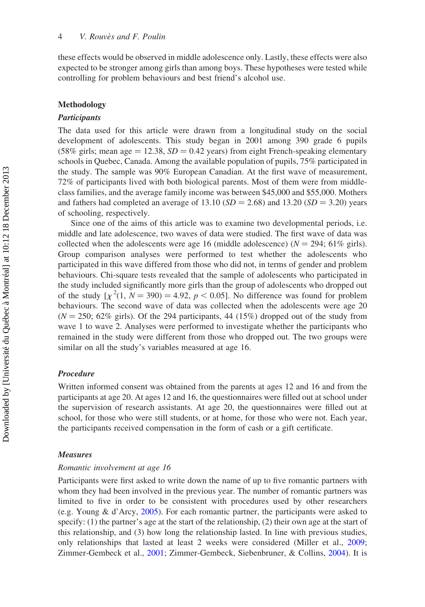these effects would be observed in middle adolescence only. Lastly, these effects were also expected to be stronger among girls than among boys. These hypotheses were tested while controlling for problem behaviours and best friend's alcohol use.

### Methodology

#### **Participants**

The data used for this article were drawn from a longitudinal study on the social development of adolescents. This study began in 2001 among 390 grade 6 pupils (58% girls; mean age = 12.38,  $SD = 0.42$  years) from eight French-speaking elementary schools in Quebec, Canada. Among the available population of pupils, 75% participated in the study. The sample was 90% European Canadian. At the first wave of measurement, 72% of participants lived with both biological parents. Most of them were from middleclass families, and the average family income was between \$45,000 and \$55,000. Mothers and fathers had completed an average of 13.10 ( $SD = 2.68$ ) and 13.20 ( $SD = 3.20$ ) years of schooling, respectively.

Since one of the aims of this article was to examine two developmental periods, i.e. middle and late adolescence, two waves of data were studied. The first wave of data was collected when the adolescents were age 16 (middle adolescence) ( $N = 294$ ; 61% girls). Group comparison analyses were performed to test whether the adolescents who participated in this wave differed from those who did not, in terms of gender and problem behaviours. Chi-square tests revealed that the sample of adolescents who participated in the study included significantly more girls than the group of adolescents who dropped out of the study  $[\chi^2(1, N = 390) = 4.92, p < 0.05]$ . No difference was found for problem behaviours. The second wave of data was collected when the adolescents were age 20  $(N = 250; 62\%$  girls). Of the 294 participants, 44 (15%) dropped out of the study from wave 1 to wave 2. Analyses were performed to investigate whether the participants who remained in the study were different from those who dropped out. The two groups were similar on all the study's variables measured at age 16.

## Procedure

Written informed consent was obtained from the parents at ages 12 and 16 and from the participants at age 20. At ages 12 and 16, the questionnaires were filled out at school under the supervision of research assistants. At age 20, the questionnaires were filled out at school, for those who were still students, or at home, for those who were not. Each year, the participants received compensation in the form of cash or a gift certificate.

## Measures

## Romantic involvement at age 16

Participants were first asked to write down the name of up to five romantic partners with whom they had been involved in the previous year. The number of romantic partners was limited to five in order to be consistent with procedures used by other researchers (e.g. Young & d'Arcy, [2005\)](#page-15-7). For each romantic partner, the participants were asked to specify: (1) the partner's age at the start of the relationship, (2) their own age at the start of this relationship, and (3) how long the relationship lasted. In line with previous studies, only relationships that lasted at least 2 weeks were considered (Miller et al., [2009](#page-14-4); Zimmer-Gembeck et al., [2001](#page-15-4); Zimmer-Gembeck, Siebenbruner, & Collins, [2004\)](#page-15-9). It is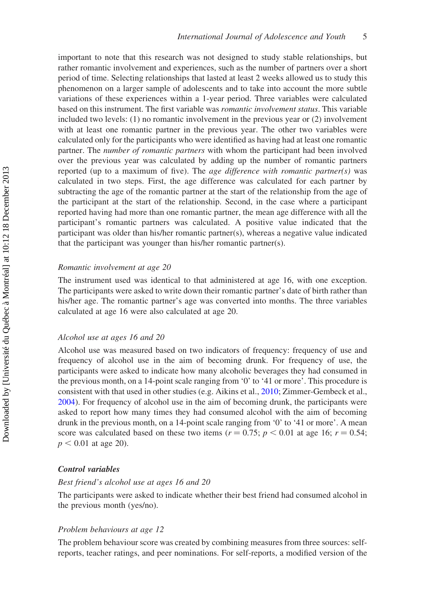important to note that this research was not designed to study stable relationships, but rather romantic involvement and experiences, such as the number of partners over a short period of time. Selecting relationships that lasted at least 2 weeks allowed us to study this phenomenon on a larger sample of adolescents and to take into account the more subtle variations of these experiences within a 1-year period. Three variables were calculated based on this instrument. The first variable was romantic involvement status. This variable included two levels: (1) no romantic involvement in the previous year or (2) involvement with at least one romantic partner in the previous year. The other two variables were calculated only for the participants who were identified as having had at least one romantic partner. The number of romantic partners with whom the participant had been involved over the previous year was calculated by adding up the number of romantic partners reported (up to a maximum of five). The *age difference with romantic partner(s)* was calculated in two steps. First, the age difference was calculated for each partner by subtracting the age of the romantic partner at the start of the relationship from the age of the participant at the start of the relationship. Second, in the case where a participant reported having had more than one romantic partner, the mean age difference with all the participant's romantic partners was calculated. A positive value indicated that the participant was older than his/her romantic partner(s), whereas a negative value indicated that the participant was younger than his/her romantic partner(s).

## Romantic involvement at age 20

The instrument used was identical to that administered at age 16, with one exception. The participants were asked to write down their romantic partner's date of birth rather than his/her age. The romantic partner's age was converted into months. The three variables calculated at age 16 were also calculated at age 20.

## Alcohol use at ages 16 and 20

Alcohol use was measured based on two indicators of frequency: frequency of use and frequency of alcohol use in the aim of becoming drunk. For frequency of use, the participants were asked to indicate how many alcoholic beverages they had consumed in the previous month, on a 14-point scale ranging from '0' to '41 or more'. This procedure is consistent with that used in other studies (e.g. Aikins et al., [2010;](#page-12-0) Zimmer-Gembeck et al., [2004](#page-15-9)). For frequency of alcohol use in the aim of becoming drunk, the participants were asked to report how many times they had consumed alcohol with the aim of becoming drunk in the previous month, on a 14-point scale ranging from '0' to '41 or more'. A mean score was calculated based on these two items ( $r = 0.75$ ;  $p < 0.01$  at age 16;  $r = 0.54$ ;  $p < 0.01$  at age 20).

## Control variables

## Best friend's alcohol use at ages 16 and 20

The participants were asked to indicate whether their best friend had consumed alcohol in the previous month (yes/no).

#### Problem behaviours at age 12

The problem behaviour score was created by combining measures from three sources: selfreports, teacher ratings, and peer nominations. For self-reports, a modified version of the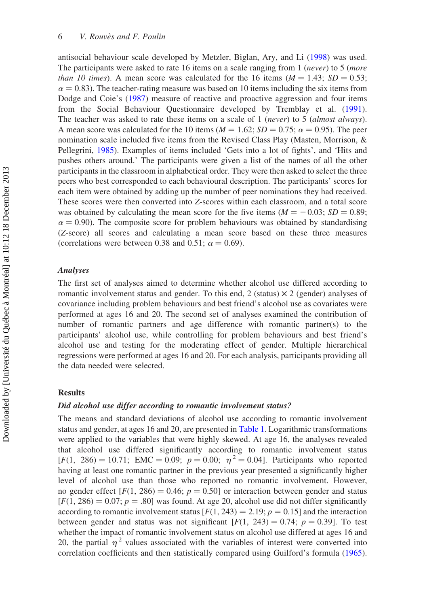antisocial behaviour scale developed by Metzler, Biglan, Ary, and Li [\(1998](#page-14-7)) was used. The participants were asked to rate 16 items on a scale ranging from 1 (*never*) to 5 (*more than 10 times*). A mean score was calculated for the 16 items ( $M = 1.43$ ;  $SD = 0.53$ ;  $\alpha = 0.83$ ). The teacher-rating measure was based on 10 items including the six items from Dodge and Coie's ([1987\)](#page-13-14) measure of reactive and proactive aggression and four items from the Social Behaviour Questionnaire developed by Tremblay et al. [\(1991](#page-15-10)). The teacher was asked to rate these items on a scale of 1 (never) to 5 (almost always). A mean score was calculated for the 10 items ( $M = 1.62$ ;  $SD = 0.75$ ;  $\alpha = 0.95$ ). The peer nomination scale included five items from the Revised Class Play (Masten, Morrison, & Pellegrini, [1985](#page-14-8)). Examples of items included 'Gets into a lot of fights', and 'Hits and pushes others around.' The participants were given a list of the names of all the other participants in the classroom in alphabetical order. They were then asked to select the three peers who best corresponded to each behavioural description. The participants' scores for each item were obtained by adding up the number of peer nominations they had received. These scores were then converted into Z-scores within each classroom, and a total score was obtained by calculating the mean score for the five items  $(M = -0.03; SD = 0.89;$  $\alpha = 0.90$ ). The composite score for problem behaviours was obtained by standardising (Z-score) all scores and calculating a mean score based on these three measures (correlations were between 0.38 and 0.51;  $\alpha = 0.69$ ).

## Analyses

The first set of analyses aimed to determine whether alcohol use differed according to romantic involvement status and gender. To this end, 2 (status)  $\times$  2 (gender) analyses of covariance including problem behaviours and best friend's alcohol use as covariates were performed at ages 16 and 20. The second set of analyses examined the contribution of number of romantic partners and age difference with romantic partner(s) to the participants' alcohol use, while controlling for problem behaviours and best friend's alcohol use and testing for the moderating effect of gender. Multiple hierarchical regressions were performed at ages 16 and 20. For each analysis, participants providing all the data needed were selected.

## Results

## Did alcohol use differ according to romantic involvement status?

The means and standard deviations of alcohol use according to romantic involvement status and gender, at ages 16 and 20, are presented in [Table](#page-7-0) 1. Logarithmic transformations were applied to the variables that were highly skewed. At age 16, the analyses revealed that alcohol use differed significantly according to romantic involvement status  $[F(1, 286) = 10.71; EMC = 0.09; p = 0.00; \eta^2 = 0.04]$ . Participants who reported having at least one romantic partner in the previous year presented a significantly higher level of alcohol use than those who reported no romantic involvement. However, no gender effect  $[F(1, 286) = 0.46; p = 0.50]$  or interaction between gender and status  $[F(1, 286) = 0.07; p = .80]$  was found. At age 20, alcohol use did not differ significantly according to romantic involvement status  $[F(1, 243) = 2.19; p = 0.15]$  and the interaction between gender and status was not significant  $[F(1, 243) = 0.74; p = 0.39]$ . To test whether the impact of romantic involvement status on alcohol use differed at ages 16 and 20, the partial  $\eta^2$  values associated with the variables of interest were converted into correlation coefficients and then statistically compared using Guilford's formula [\(1965](#page-13-15)).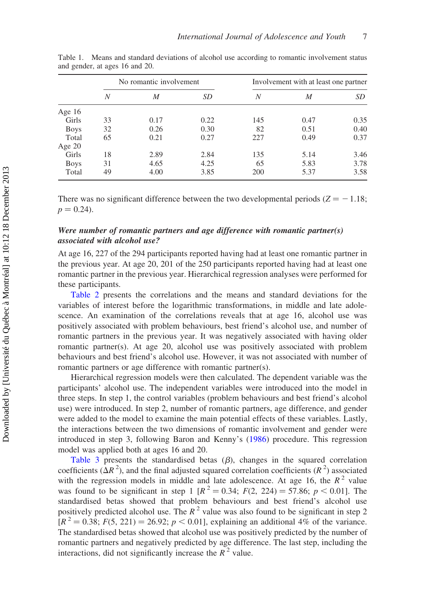|             | No romantic involvement |      |      | Involvement with at least one partner |      |      |
|-------------|-------------------------|------|------|---------------------------------------|------|------|
|             | Ν                       | M    | SD   | Ν                                     | M    | SD   |
| Age 16      |                         |      |      |                                       |      |      |
| Girls       | 33                      | 0.17 | 0.22 | 145                                   | 0.47 | 0.35 |
| <b>Boys</b> | 32                      | 0.26 | 0.30 | 82                                    | 0.51 | 0.40 |
| Total       | 65                      | 0.21 | 0.27 | 227                                   | 0.49 | 0.37 |
| Age $20$    |                         |      |      |                                       |      |      |
| Girls       | 18                      | 2.89 | 2.84 | 135                                   | 5.14 | 3.46 |
| <b>Boys</b> | 31                      | 4.65 | 4.25 | 65                                    | 5.83 | 3.78 |
| Total       | 49                      | 4.00 | 3.85 | 200                                   | 5.37 | 3.58 |

<span id="page-7-0"></span>Table 1. Means and standard deviations of alcohol use according to romantic involvement status and gender, at ages 16 and 20.

There was no significant difference between the two developmental periods  $(Z = -1.18;$  $p = 0.24$ .

## Were number of romantic partners and age difference with romantic partner(s) associated with alcohol use?

At age 16, 227 of the 294 participants reported having had at least one romantic partner in the previous year. At age 20, 201 of the 250 participants reported having had at least one romantic partner in the previous year. Hierarchical regression analyses were performed for these participants.

[Table 2](#page-8-0) presents the correlations and the means and standard deviations for the variables of interest before the logarithmic transformations, in middle and late adolescence. An examination of the correlations reveals that at age 16, alcohol use was positively associated with problem behaviours, best friend's alcohol use, and number of romantic partners in the previous year. It was negatively associated with having older romantic partner(s). At age 20, alcohol use was positively associated with problem behaviours and best friend's alcohol use. However, it was not associated with number of romantic partners or age difference with romantic partner(s).

Hierarchical regression models were then calculated. The dependent variable was the participants' alcohol use. The independent variables were introduced into the model in three steps. In step 1, the control variables (problem behaviours and best friend's alcohol use) were introduced. In step 2, number of romantic partners, age difference, and gender were added to the model to examine the main potential effects of these variables. Lastly, the interactions between the two dimensions of romantic involvement and gender were introduced in step 3, following Baron and Kenny's [\(1986\)](#page-13-16) procedure. This regression model was applied both at ages 16 and 20.

[Table 3](#page-9-0) presents the standardised betas  $(\beta)$ , changes in the squared correlation coefficients ( $\Delta R^2$ ), and the final adjusted squared correlation coefficients ( $R^2$ ) associated with the regression models in middle and late adolescence. At age 16, the  $R^2$  value was found to be significant in step 1 [ $R^2 = 0.34$ ;  $F(2, 224) = 57.86$ ;  $p < 0.01$ ]. The standardised betas showed that problem behaviours and best friend's alcohol use positively predicted alcohol use. The  $R^2$  value was also found to be significant in step 2  $[R^2 = 0.38; F(5, 221) = 26.92; p < 0.01]$ , explaining an additional 4% of the variance. The standardised betas showed that alcohol use was positively predicted by the number of romantic partners and negatively predicted by age difference. The last step, including the interactions, did not significantly increase the  $R<sup>2</sup>$  value.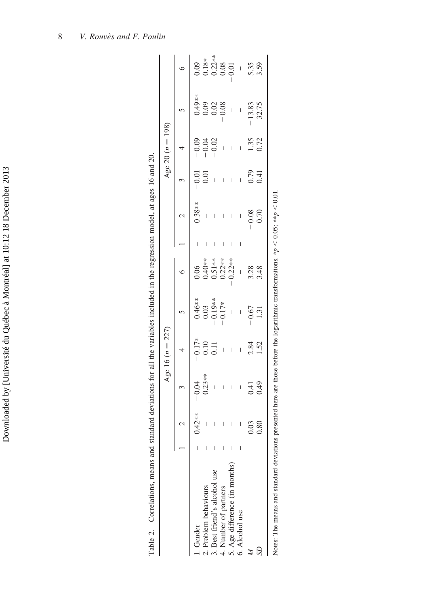<span id="page-8-0"></span>

|                               |                                             |                                | Age 16 ( $n = 227$ )                                  |                                             |                                                         |          |                | Age 20 ( $n = 198$ ) |                                  |                                                                 |
|-------------------------------|---------------------------------------------|--------------------------------|-------------------------------------------------------|---------------------------------------------|---------------------------------------------------------|----------|----------------|----------------------|----------------------------------|-----------------------------------------------------------------|
|                               |                                             |                                |                                                       |                                             |                                                         |          |                |                      |                                  |                                                                 |
| .Gender                       | $0.42**$                                    | $-0.04$                        |                                                       |                                             |                                                         | $0.38**$ | $-0.01$        | $-0.09$              |                                  | 0.09                                                            |
| 2. Problem behaviours         |                                             | $0.23**$                       | $\begin{array}{r} -0.17* \\ 0.10 \\ 0.11 \end{array}$ |                                             |                                                         |          | $0.01$         | $-0.04$              |                                  |                                                                 |
| 3. Best friend's alcohol use  |                                             | $\overline{\phantom{a}}$       |                                                       | $0.46**$<br>$0.03$<br>$-0.19**$<br>$-0.17*$ | $\begin{array}{c} 0.06 \\ 0.40** \\ 0.51** \end{array}$ |          |                |                      | $0.49**$<br>0.09<br>0.02<br>0.02 | $\begin{array}{c} 0.18* \\ 0.22** \\ 0.08 \\ -0.01 \end{array}$ |
| 4. Number of partners         |                                             |                                |                                                       |                                             | $0.22**$                                                |          |                |                      |                                  |                                                                 |
| 5. Age difference (in months) |                                             | $\begin{array}{c} \end{array}$ |                                                       |                                             | $-0.22**$                                               |          |                |                      |                                  |                                                                 |
| 6. Alcohol use                | I                                           | $\begin{array}{c} \end{array}$ |                                                       |                                             |                                                         |          |                |                      | $\overline{1}$                   |                                                                 |
|                               |                                             | 0.41                           |                                                       | $-0.67$                                     |                                                         | $-0.08$  |                |                      |                                  | 5.35<br>3.59                                                    |
|                               | $\begin{array}{c} 0.03 \\ 0.80 \end{array}$ | 0.49                           | 2.84<br>1.52                                          | 1.31                                        | $3.\overline{28}$<br>$3.\overline{48}$                  | 0.70     | $0.79$<br>0.41 | $\frac{1.35}{0.72}$  | $-13.83$<br>32.75                |                                                                 |

Correlations, means and standard deviations for all the variables included in the regression model, at ages 16 and 20.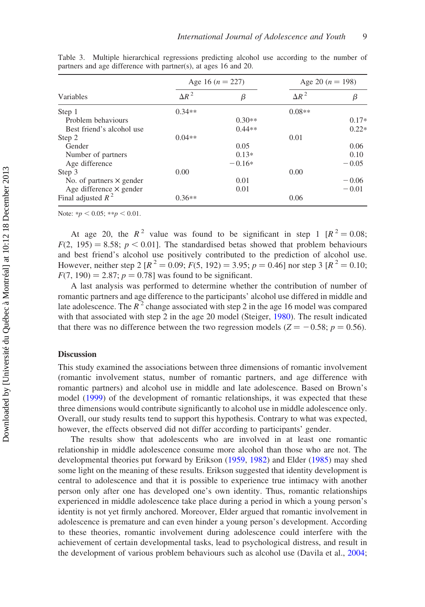|                                 |              | Age 16 $(n = 227)$ |              | Age 20 $(n = 198)$ |
|---------------------------------|--------------|--------------------|--------------|--------------------|
| Variables                       | $\Delta R^2$ | β                  | $\Delta R^2$ | β                  |
| Step 1                          | $0.34**$     |                    | $0.08**$     |                    |
| Problem behaviours              |              | $0.30**$           |              | $0.17*$            |
| Best friend's alcohol use       |              | $0.44**$           |              | $0.22*$            |
| Step 2                          | $0.04**$     |                    | 0.01         |                    |
| Gender                          |              | 0.05               |              | 0.06               |
| Number of partners              |              | $0.13*$            |              | 0.10               |
| Age difference                  |              | $-0.16*$           |              | $-0.05$            |
| Step 3                          | 0.00         |                    | 0.00         |                    |
| No. of partners $\times$ gender |              | 0.01               |              | $-0.06$            |
| Age difference $\times$ gender  |              | 0.01               |              | $-0.01$            |
| Final adjusted $R^2$            | $0.36**$     |                    | 0.06         |                    |

<span id="page-9-0"></span>Table 3. Multiple hierarchical regressions predicting alcohol use according to the number of partners and age difference with partner(s), at ages 16 and 20.

Note:  $* p < 0.05$ ;  $* p < 0.01$ .

At age 20, the  $R^2$  value was found to be significant in step 1  $[R^2 = 0.08;$  $F(2, 195) = 8.58$ ;  $p < 0.01$ ]. The standardised betas showed that problem behaviours and best friend's alcohol use positively contributed to the prediction of alcohol use. However, neither step 2  $[R^2 = 0.09; F(5, 192) = 3.95; p = 0.46]$  nor step 3  $[R^2 = 0.10;$  $F(7, 190) = 2.87; p = 0.78$ ] was found to be significant.

A last analysis was performed to determine whether the contribution of number of romantic partners and age difference to the participants' alcohol use differed in middle and late adolescence. The  $R^2$  change associated with step 2 in the age 16 model was compared with that associated with step 2 in the age 20 model (Steiger, [1980](#page-15-11)). The result indicated that there was no difference between the two regression models ( $Z = -0.58$ ;  $p = 0.56$ ).

## **Discussion**

This study examined the associations between three dimensions of romantic involvement (romantic involvement status, number of romantic partners, and age difference with romantic partners) and alcohol use in middle and late adolescence. Based on Brown's model [\(1999](#page-13-11)) of the development of romantic relationships, it was expected that these three dimensions would contribute significantly to alcohol use in middle adolescence only. Overall, our study results tend to support this hypothesis. Contrary to what was expected, however, the effects observed did not differ according to participants' gender.

The results show that adolescents who are involved in at least one romantic relationship in middle adolescence consume more alcohol than those who are not. The developmental theories put forward by Erikson [\(1959](#page-13-7), [1982\)](#page-13-17) and Elder [\(1985](#page-13-6)) may shed some light on the meaning of these results. Erikson suggested that identity development is central to adolescence and that it is possible to experience true intimacy with another person only after one has developed one's own identity. Thus, romantic relationships experienced in middle adolescence take place during a period in which a young person's identity is not yet firmly anchored. Moreover, Elder argued that romantic involvement in adolescence is premature and can even hinder a young person's development. According to these theories, romantic involvement during adolescence could interfere with the achievement of certain developmental tasks, lead to psychological distress, and result in the development of various problem behaviours such as alcohol use (Davila et al., [2004](#page-13-5);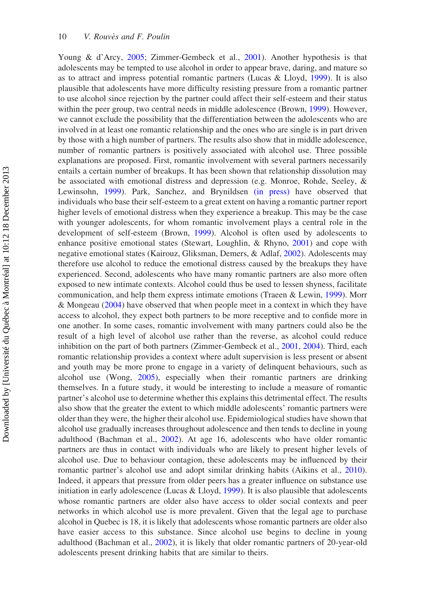Young & d'Arcy, [2005;](#page-15-7) Zimmer-Gembeck et al., [2001](#page-15-4)). Another hypothesis is that adolescents may be tempted to use alcohol in order to appear brave, daring, and mature so as to attract and impress potential romantic partners (Lucas & Lloyd, [1999\)](#page-14-9). It is also plausible that adolescents have more difficulty resisting pressure from a romantic partner to use alcohol since rejection by the partner could affect their self-esteem and their status within the peer group, two central needs in middle adolescence (Brown, [1999](#page-13-11)). However, we cannot exclude the possibility that the differentiation between the adolescents who are involved in at least one romantic relationship and the ones who are single is in part driven by those with a high number of partners. The results also show that in middle adolescence, number of romantic partners is positively associated with alcohol use. Three possible explanations are proposed. First, romantic involvement with several partners necessarily entails a certain number of breakups. It has been shown that relationship dissolution may be associated with emotional distress and depression (e.g. Monroe, Rohde, Seeley, & Lewinsohn, [1999\)](#page-14-10). Park, Sanchez, and Brynildsen [\(in press\)](#page-15-12) have observed that individuals who base their self-esteem to a great extent on having a romantic partner report higher levels of emotional distress when they experience a breakup. This may be the case with younger adolescents, for whom romantic involvement plays a central role in the development of self-esteem (Brown, [1999](#page-13-11)). Alcohol is often used by adolescents to enhance positive emotional states (Stewart, Loughlin, & Rhyno, [2001](#page-15-13)) and cope with negative emotional states (Kairouz, Gliksman, Demers, & Adlaf, [2002](#page-14-11)). Adolescents may therefore use alcohol to reduce the emotional distress caused by the breakups they have experienced. Second, adolescents who have many romantic partners are also more often exposed to new intimate contexts. Alcohol could thus be used to lessen shyness, facilitate communication, and help them express intimate emotions (Traeen & Lewin, [1999](#page-15-14)). Morr & Mongeau [\(2004](#page-14-12)) have observed that when people meet in a context in which they have access to alcohol, they expect both partners to be more receptive and to confide more in one another. In some cases, romantic involvement with many partners could also be the result of a high level of alcohol use rather than the reverse, as alcohol could reduce inhibition on the part of both partners (Zimmer-Gembeck et al., [2001](#page-15-4), [2004\)](#page-15-9). Third, each romantic relationship provides a context where adult supervision is less present or absent and youth may be more prone to engage in a variety of delinquent behaviours, such as alcohol use (Wong, [2005](#page-15-3)), especially when their romantic partners are drinking themselves. In a future study, it would be interesting to include a measure of romantic partner's alcohol use to determine whether this explains this detrimental effect. The results also show that the greater the extent to which middle adolescents' romantic partners were older than they were, the higher their alcohol use. Epidemiological studies have shown that alcohol use gradually increases throughout adolescence and then tends to decline in young adulthood (Bachman et al., [2002](#page-13-10)). At age 16, adolescents who have older romantic partners are thus in contact with individuals who are likely to present higher levels of alcohol use. Due to behaviour contagion, these adolescents may be influenced by their romantic partner's alcohol use and adopt similar drinking habits (Aikins et al., [2010](#page-12-0)). Indeed, it appears that pressure from older peers has a greater influence on substance use initiation in early adolescence (Lucas  $&$  Lloyd, [1999\)](#page-14-9). It is also plausible that adolescents whose romantic partners are older also have access to older social contexts and peer networks in which alcohol use is more prevalent. Given that the legal age to purchase alcohol in Quebec is 18, it is likely that adolescents whose romantic partners are older also have easier access to this substance. Since alcohol use begins to decline in young adulthood (Bachman et al., [2002\)](#page-13-10), it is likely that older romantic partners of 20-year-old adolescents present drinking habits that are similar to theirs.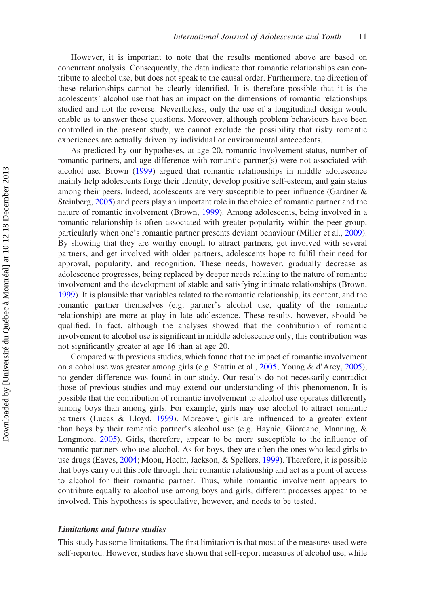However, it is important to note that the results mentioned above are based on concurrent analysis. Consequently, the data indicate that romantic relationships can contribute to alcohol use, but does not speak to the causal order. Furthermore, the direction of these relationships cannot be clearly identified. It is therefore possible that it is the adolescents' alcohol use that has an impact on the dimensions of romantic relationships studied and not the reverse. Nevertheless, only the use of a longitudinal design would enable us to answer these questions. Moreover, although problem behaviours have been controlled in the present study, we cannot exclude the possibility that risky romantic experiences are actually driven by individual or environmental antecedents.

As predicted by our hypotheses, at age 20, romantic involvement status, number of romantic partners, and age difference with romantic partner(s) were not associated with alcohol use. Brown ([1999\)](#page-13-11) argued that romantic relationships in middle adolescence mainly help adolescents forge their identity, develop positive self-esteem, and gain status among their peers. Indeed, adolescents are very susceptible to peer influence (Gardner & Steinberg, [2005](#page-13-18)) and peers play an important role in the choice of romantic partner and the nature of romantic involvement (Brown, [1999](#page-13-11)). Among adolescents, being involved in a romantic relationship is often associated with greater popularity within the peer group, particularly when one's romantic partner presents deviant behaviour (Miller et al., [2009](#page-14-4)). By showing that they are worthy enough to attract partners, get involved with several partners, and get involved with older partners, adolescents hope to fulfil their need for approval, popularity, and recognition. These needs, however, gradually decrease as adolescence progresses, being replaced by deeper needs relating to the nature of romantic involvement and the development of stable and satisfying intimate relationships (Brown, [1999](#page-13-11)). It is plausible that variables related to the romantic relationship, its content, and the romantic partner themselves (e.g. partner's alcohol use, quality of the romantic relationship) are more at play in late adolescence. These results, however, should be qualified. In fact, although the analyses showed that the contribution of romantic involvement to alcohol use is significant in middle adolescence only, this contribution was not significantly greater at age 16 than at age 20.

Compared with previous studies, which found that the impact of romantic involvement on alcohol use was greater among girls (e.g. Stattin et al., [2005](#page-15-6); Young & d'Arcy, [2005](#page-15-7)), no gender difference was found in our study. Our results do not necessarily contradict those of previous studies and may extend our understanding of this phenomenon. It is possible that the contribution of romantic involvement to alcohol use operates differently among boys than among girls. For example, girls may use alcohol to attract romantic partners (Lucas & Lloyd, [1999](#page-14-9)). Moreover, girls are influenced to a greater extent than boys by their romantic partner's alcohol use (e.g. Haynie, Giordano, Manning, & Longmore, [2005\)](#page-14-13). Girls, therefore, appear to be more susceptible to the influence of romantic partners who use alcohol. As for boys, they are often the ones who lead girls to use drugs (Eaves, [2004](#page-13-19); Moon, Hecht, Jackson, & Spellers, [1999](#page-14-14)). Therefore, it is possible that boys carry out this role through their romantic relationship and act as a point of access to alcohol for their romantic partner. Thus, while romantic involvement appears to contribute equally to alcohol use among boys and girls, different processes appear to be involved. This hypothesis is speculative, however, and needs to be tested.

## Limitations and future studies

This study has some limitations. The first limitation is that most of the measures used were self-reported. However, studies have shown that self-report measures of alcohol use, while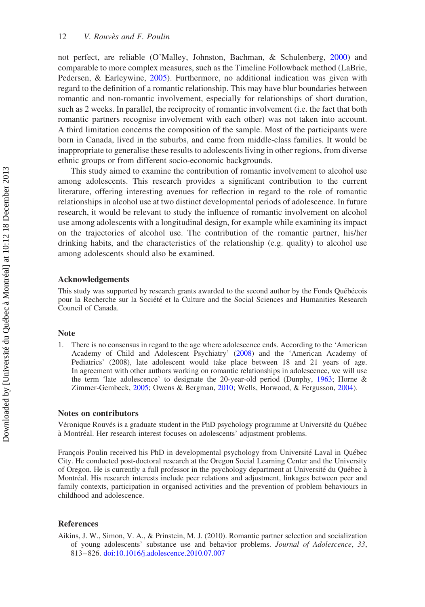not perfect, are reliable (O'Malley, Johnston, Bachman, & Schulenberg, [2000\)](#page-14-15) and comparable to more complex measures, such as the Timeline Followback method (LaBrie, Pedersen, & Earleywine, [2005\)](#page-14-16). Furthermore, no additional indication was given with regard to the definition of a romantic relationship. This may have blur boundaries between romantic and non-romantic involvement, especially for relationships of short duration, such as 2 weeks. In parallel, the reciprocity of romantic involvement (i.e. the fact that both romantic partners recognise involvement with each other) was not taken into account. A third limitation concerns the composition of the sample. Most of the participants were born in Canada, lived in the suburbs, and came from middle-class families. It would be inappropriate to generalise these results to adolescents living in other regions, from diverse ethnic groups or from different socio-economic backgrounds.

This study aimed to examine the contribution of romantic involvement to alcohol use among adolescents. This research provides a significant contribution to the current literature, offering interesting avenues for reflection in regard to the role of romantic relationships in alcohol use at two distinct developmental periods of adolescence. In future research, it would be relevant to study the influence of romantic involvement on alcohol use among adolescents with a longitudinal design, for example while examining its impact on the trajectories of alcohol use. The contribution of the romantic partner, his/her drinking habits, and the characteristics of the relationship (e.g. quality) to alcohol use among adolescents should also be examined.

### Acknowledgements

This study was supported by research grants awarded to the second author by the Fonds Ouébécois pour la Recherche sur la Société et la Culture and the Social Sciences and Humanities Research Council of Canada.

## <span id="page-12-1"></span>Note

1. There is no consensus in regard to the age where adolescence ends. According to the 'American Academy of Child and Adolescent Psychiatry' [\(2008\)](#page-13-20) and the 'American Academy of Pediatrics' (2008), late adolescent would take place between 18 and 21 years of age. In agreement with other authors working on romantic relationships in adolescence, we will use the term 'late adolescence' to designate the 20-year-old period (Dunphy, [1963](#page-13-21); Horne & Zimmer-Gembeck, [2005](#page-14-17); Owens & Bergman, [2010;](#page-14-18) Wells, Horwood, & Fergusson, [2004\)](#page-15-15).

## Notes on contributors

Véronique Rouvés is a graduate student in the PhD psychology programme at Université du Québec à Montréal. Her research interest focuses on adolescents' adjustment problems.

François Poulin received his PhD in developmental psychology from Université Laval in Québec City. He conducted post-doctoral research at the Oregon Social Learning Center and the University of Oregon. He is currently a full professor in the psychology department at Université du Québec à Montréal. His research interests include peer relations and adjustment, linkages between peer and family contexts, participation in organised activities and the prevention of problem behaviours in childhood and adolescence.

### <span id="page-12-0"></span>References

Aikins, J. W., Simon, V. A., & Prinstein, M. J. (2010). Romantic partner selection and socialization of young adolescents' substance use and behavior problems. Journal of Adolescence, 33, 813 – 826. [doi:10.1016/j.adolescence.2010.07.007](http://dx.doi.org/10.1016/j.adolescence.2010.07.007)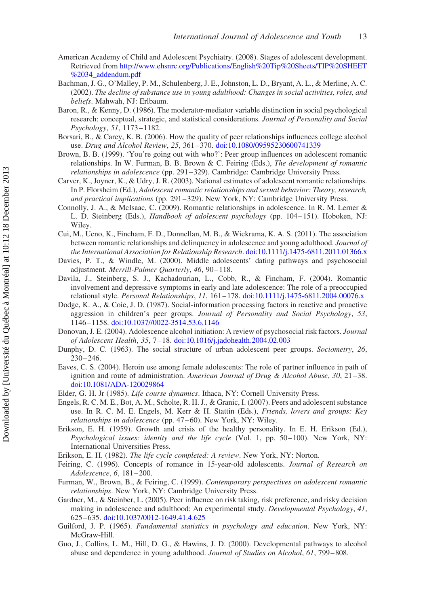- <span id="page-13-20"></span>American Academy of Child and Adolescent Psychiatry. (2008). Stages of adolescent development. Retrieved from [http://www.ehsnrc.org/Publications/English%20Tip%20Sheets/TIP%20SHEET](http://www.ehsnrc.org/Publications/English%20Tip%20Sheets/TIP%20SHEET%2034_addendum.pdf)  [%2034\\_addendum.pdf](http://www.ehsnrc.org/Publications/English%20Tip%20Sheets/TIP%20SHEET%2034_addendum.pdf)
- <span id="page-13-10"></span>Bachman, J. G., O'Malley, P. M., Schulenberg, J. E., Johnston, L. D., Bryant, A. L., & Merline, A. C. (2002). The decline of substance use in young adulthood: Changes in social activities, roles, and beliefs. Mahwah, NJ: Erlbaum.
- <span id="page-13-16"></span>Baron, R., & Kenny, D. (1986). The moderator-mediator variable distinction in social psychological research: conceptual, strategic, and statistical considerations. Journal of Personality and Social Psychology, 51, 1173 – 1182.
- <span id="page-13-9"></span>Borsari, B., & Carey, K. B. (2006). How the quality of peer relationships influences college alcohol use. Drug and Alcohol Review, 25, 361-370. [doi:10.1080/09595230600741339](http://dx.doi.org/doi: 10.1080/09595230600741339)
- <span id="page-13-11"></span>Brown, B. B. (1999). 'You're going out with who?': Peer group influences on adolescent romantic relationships. In W. Furman, B. B. Brown & C. Feiring (Eds.), The development of romantic relationships in adolescence (pp. 291 – 329). Cambridge: Cambridge University Press.
- <span id="page-13-3"></span>Carver, K., Joyner, K., & Udry, J. R. (2003). National estimates of adolescent romantic relationships. In P. Florsheim (Ed.), Adolescent romantic relationships and sexual behavior: Theory, research, and practical implications (pp. 291-329). New York, NY: Cambridge University Press.
- <span id="page-13-4"></span>Connolly, J. A., & McIsaac, C. (2009). Romantic relationships in adolescence. In R. M. Lerner & L. D. Steinberg (Eds.), Handbook of adolescent psychology (pp. 104-151). Hoboken, NJ: Wiley.
- <span id="page-13-8"></span>Cui, M., Ueno, K., Fincham, F. D., Donnellan, M. B., & Wickrama, K. A. S. (2011). The association between romantic relationships and delinquency in adolescence and young adulthood. Journal of the International Association for Relationship Research. [doi:10.1111/j.1475-6811.2011.01366.x](http://dx.doi.org/doi:10.1111/j.1475-6811.2011.01366.x)
- Davies, P. T., & Windle, M. (2000). Middle adolescents' dating pathways and psychosocial adjustment. Merrill-Palmer Quarterly, 46, 90-118.
- <span id="page-13-5"></span>Davila, J., Steinberg, S. J., Kachadourian, L., Cobb, R., & Fincham, F. (2004). Romantic involvement and depressive symptoms in early and late adolescence: The role of a preoccupied relational style. Personal Relationships, 11, 161– 178. [doi:10.1111/j.1475-6811.2004.00076.x](http://dx.doi.org/doi:10.1111/j.1475-6811.2004.00076.x)
- <span id="page-13-14"></span>Dodge, K. A., & Coie, J. D. (1987). Social-information processing factors in reactive and proactive aggression in children's peer groups. Journal of Personality and Social Psychology, 53, 1146 – 1158. [doi:10.1037//0022-3514.53.6.1146](http://dx.doi.org/doi:10.1037//0022-3514.53.6.1146)
- <span id="page-13-21"></span><span id="page-13-1"></span>Donovan, J. E. (2004). Adolescence alcohol initiation: A review of psychosocial risk factors. Journal of Adolescent Health, 35, 7– 18. [doi:10.1016/j.jadohealth.2004.02.003](http://dx.doi.org/doi:10.1016/j.jadohealth.2004.02.003)
- <span id="page-13-19"></span>Dunphy, D. C. (1963). The social structure of urban adolescent peer groups. Sociometry, 26,  $230 - 246.$
- Eaves, C. S. (2004). Heroin use among female adolescents: The role of partner influence in path of ignition and route of administration. American Journal of Drug & Alcohol Abuse, 30, 21–38. [doi:10.1081/ADA-120029864](http://dx.doi.org/doi: 10.1081/ADA-120029864)
- <span id="page-13-6"></span><span id="page-13-2"></span>Elder, G. H. Jr (1985). Life course dynamics. Ithaca, NY: Cornell University Press.
- Engels, R. C. M. E., Bot, A. M., Scholte, R. H. J., & Granic, I. (2007). Peers and adolescent substance use. In R. C. M. E. Engels, M. Kerr & H. Stattin (Eds.), Friends, lovers and groups: Key relationships in adolescence (pp. 47-60). New York, NY: Wiley.
- <span id="page-13-7"></span>Erikson, E. H. (1959). Growth and crisis of the healthy personality. In E. H. Erikson (Ed.), Psychological issues: identity and the life cycle (Vol. 1, pp. 50–100). New York, NY: International Universities Press.
- <span id="page-13-17"></span><span id="page-13-13"></span>Erikson, E. H. (1982). The life cycle completed: A review. New York, NY: Norton.
- <span id="page-13-12"></span>Feiring, C. (1996). Concepts of romance in 15-year-old adolescents. Journal of Research on Adolescence, 6, 181-200.
- <span id="page-13-18"></span>Furman, W., Brown, B., & Feiring, C. (1999). Contemporary perspectives on adolescent romantic relationships. New York, NY: Cambridge University Press.
- <span id="page-13-15"></span>Gardner, M., & Steinber, L. (2005). Peer influence on risk taking, risk preference, and risky decision making in adolescence and adulthood: An experimental study. Developmental Psychology, 41, 625 – 635. [doi:10.1037/0012-1649.41.4.625](http://dx.doi.org/doi:10.1037/0012-1649.41.4.625)
- <span id="page-13-0"></span>Guilford, J. P. (1965). Fundamental statistics in psychology and education. New York, NY: McGraw-Hill.
- Guo, J., Collins, L. M., Hill, D. G., & Hawins, J. D. (2000). Developmental pathways to alcohol abuse and dependence in young adulthood. Journal of Studies on Alcohol, 61, 799– 808.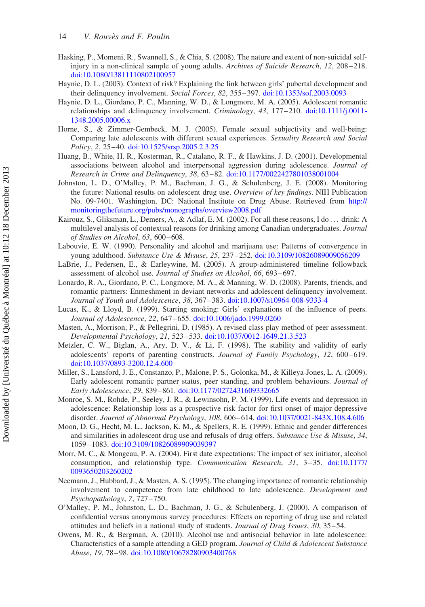- <span id="page-14-0"></span>Hasking, P., Momeni, R., Swannell, S., & Chia, S. (2008). The nature and extent of non-suicidal selfinjury in a non-clinical sample of young adults. Archives of Suicide Research,  $12$ ,  $208-218$ . [doi:10.1080/13811110802100957](http://dx.doi.org/doi:10.1080/13811110802100957)
- <span id="page-14-3"></span>Haynie, D. L. (2003). Context of risk? Explaining the link between girls' pubertal development and their delinquency involvement. Social Forces, 82, 355-397. doi:10.1353/sof.2003.0093
- <span id="page-14-13"></span>Haynie, D. L., Giordano, P. C., Manning, W. D., & Longmore, M. A. (2005). Adolescent romantic relationships and delinquency involvement. Criminology, 43, 177-210. [doi:10.1111/j.0011](http://dx.doi.org/doi:10.1111/j.0011-1348.2005.00006.x)-[1348.2005.00006.x](http://dx.doi.org/doi:10.1111/j.0011-1348.2005.00006.x)
- <span id="page-14-17"></span>Horne, S., & Zimmer-Gembeck, M. J. (2005). Female sexual subjectivity and well-being: Comparing late adolescents with different sexual experiences. Sexuality Research and Social Policy, 2, 25–40. doi:10.1525/srsp.2005.2.3.25
- <span id="page-14-5"></span>Huang, B., White, H. R., Kosterman, R., Catalano, R. F., & Hawkins, J. D. (2001). Developmental associations between alcohol and interpersonal aggression during adolescence. Journal of Research in Crime and Delinquency, 38, 63– 82. [doi:10.1177/0022427801038001004](http://dx.doi.org/doi:10.1177/0022427801038001004)
- <span id="page-14-6"></span>Johnston, L. D., O'Malley, P. M., Bachman, J. G., & Schulenberg, J. E. (2008). Monitoring the future: National results on adolescent drug use. Overview of key findings. NIH Publication No. 09-7401. Washington, DC: National Institute on Drug Abuse. Retrieved from [http://](http://monitoringthefuture.org/pubs/monographs/overview2008.pdf)  [monitoringthefuture.org/pubs/monographs/overview2008.pdf](http://monitoringthefuture.org/pubs/monographs/overview2008.pdf)
- <span id="page-14-11"></span>Kairouz, S., Gliksman, L., Demers, A., & Adlaf, E. M. (2002). For all these reasons, I do . . . drink: A multilevel analysis of contextual reasons for drinking among Canadian undergraduates. Journal of Studies on Alcohol, 63, 600-608.
- <span id="page-14-16"></span><span id="page-14-1"></span>Labouvie, E. W. (1990). Personality and alcohol and marijuana use: Patterns of convergence in young adulthood. Substance Use & Misuse, 25, 237– 252. [doi:10.3109/10826089009056209](http://dx.doi.org/doi:10.3109/10826089009056209)
- <span id="page-14-2"></span>LaBrie, J., Pedersen, E., & Earleywine, M. (2005). A group-administered timeline followback assessment of alcohol use. Journal of Studies on Alcohol, 66, 693-697.
- Lonardo, R. A., Giordano, P. C., Longmore, M. A., & Manning, W. D. (2008). Parents, friends, and romantic partners: Enmeshment in deviant networks and adolescent delinquency involvement. Journal of Youth and Adolescence, 38, 367– 383. [doi:10.1007/s10964-008-9333-4](http://dx.doi.org/doi:10.1007/s10964-008-9333-4)
- <span id="page-14-9"></span><span id="page-14-8"></span>Lucas, K., & Lloyd, B. (1999). Starting smoking: Girls' explanations of the influence of peers. Journal of Adolescence, 22, 647– 655. [doi:10.1006/jado.1999.0260](http://dx.doi.org/doi:10.1006/jado.1999.0260)
- <span id="page-14-7"></span>Masten, A., Morrison, P., & Pellegrini, D. (1985). A revised class play method of peer assessment. Developmental Psychology, 21, 523– 533. [doi:10.1037/0012-1649.21.3.523](http://dx.doi.org/doi:10.1037/0012-1649.21.3.523)
- <span id="page-14-4"></span>Metzler, C. W., Biglan, A., Ary, D. V., & Li, F. (1998). The stability and validity of early adolescents' reports of parenting constructs. Journal of Family Psychology, 12, 600-619. [doi:10.1037/0893-3200.12.4.600](http://dx.doi.org/doi:10.1037/0893-3200.12.4.600)
- <span id="page-14-10"></span>Miller, S., Lansford, J. E., Constanzo, P., Malone, P. S., Golonka, M., & Killeya-Jones, L. A. (2009). Early adolescent romantic partner status, peer standing, and problem behaviours. Journal of Early Adolescence, 29, 839– 861. [doi:10.1177/0272431609332665](http://dx.doi.org/doi:10.1177/0272431609332665)
- <span id="page-14-14"></span>Monroe, S. M., Rohde, P., Seeley, J. R., & Lewinsohn, P. M. (1999). Life events and depression in adolescence: Relationship loss as a prospective risk factor for first onset of major depressive disorder. Journal of Abnormal Psychology, 108, 606-614. doi:10.1037/0021-843X.108.4.606
- <span id="page-14-12"></span>Moon, D. G., Hecht, M. L., Jackson, K. M., & Spellers, R. E. (1999). Ethnic and gender differences and similarities in adolescent drug use and refusals of drug offers. Substance Use & Misuse,  $34$ , 1059 – 1083. [doi:10.3109/10826089909039397](http://dx.doi.org/doi:10.3109/10826089909039397)
- Morr, M. C., & Mongeau, P. A. (2004). First date expectations: The impact of sex initiator, alcohol consumption, and relationship type. Communication Research, 31, 3-35. doi:10.1177/ [0093650203260202](http://dx.doi.org/doi:10.1177/0093650203260202)
- <span id="page-14-15"></span>Neemann, J., Hubbard, J., & Masten, A. S. (1995). The changing importance of romantic relationship involvement to competence from late childhood to late adolescence. Development and Psychopathology, 7, 727– 750.
- <span id="page-14-18"></span>O'Malley, P. M., Johnston, L. D., Bachman, J. G., & Schulenberg, J. (2000). A comparison of confidential versus anonymous survey procedures: Effects on reporting of drug use and related attitudes and beliefs in a national study of students. Journal of Drug Issues, 30, 35– 54.
- Owens, M. R., & Bergman, A. (2010). Alcohol use and antisocial behavior in late adolescence: Characteristics of a sample attending a GED program. Journal of Child & Adolescent Substance Abuse, 19, 78– 98. [doi:10.1080/10678280903400768](http://dx.doi.org/doi:10.1080/10678280903400768)